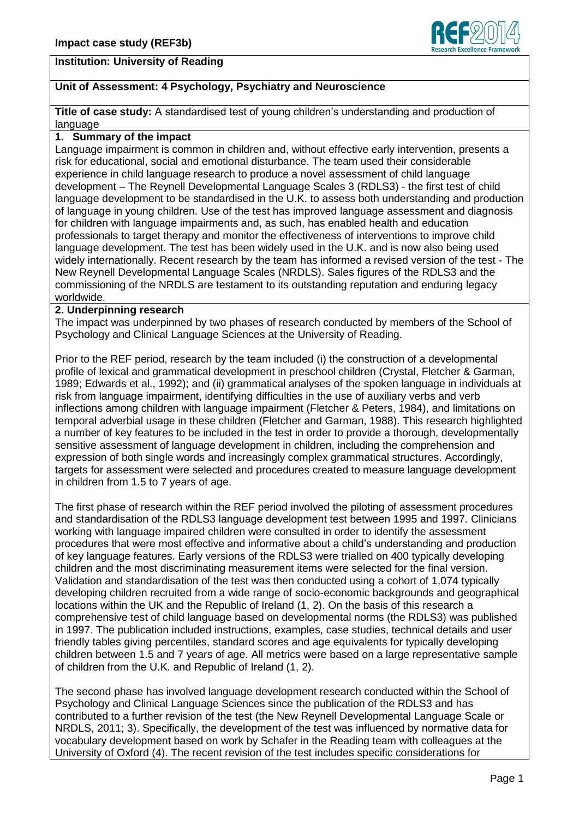

# **Unit of Assessment: 4 Psychology, Psychiatry and Neuroscience**

**Title of case study:** A standardised test of young children's understanding and production of language

#### **1. Summary of the impact**

Language impairment is common in children and, without effective early intervention, presents a risk for educational, social and emotional disturbance. The team used their considerable experience in child language research to produce a novel assessment of child language development – The Reynell Developmental Language Scales 3 (RDLS3) - the first test of child language development to be standardised in the U.K. to assess both understanding and production of language in young children. Use of the test has improved language assessment and diagnosis for children with language impairments and, as such, has enabled health and education professionals to target therapy and monitor the effectiveness of interventions to improve child language development. The test has been widely used in the U.K. and is now also being used widely internationally. Recent research by the team has informed a revised version of the test - The New Reynell Developmental Language Scales (NRDLS). Sales figures of the RDLS3 and the commissioning of the NRDLS are testament to its outstanding reputation and enduring legacy worldwide.

#### **2. Underpinning research**

The impact was underpinned by two phases of research conducted by members of the School of Psychology and Clinical Language Sciences at the University of Reading.

Prior to the REF period, research by the team included (i) the construction of a developmental profile of lexical and grammatical development in preschool children (Crystal, Fletcher & Garman, 1989; Edwards et al., 1992); and (ii) grammatical analyses of the spoken language in individuals at risk from language impairment, identifying difficulties in the use of auxiliary verbs and verb inflections among children with language impairment (Fletcher & Peters, 1984), and limitations on temporal adverbial usage in these children (Fletcher and Garman, 1988). This research highlighted a number of key features to be included in the test in order to provide a thorough, developmentally sensitive assessment of language development in children, including the comprehension and expression of both single words and increasingly complex grammatical structures. Accordingly, targets for assessment were selected and procedures created to measure language development in children from 1.5 to 7 years of age.

The first phase of research within the REF period involved the piloting of assessment procedures and standardisation of the RDLS3 language development test between 1995 and 1997. Clinicians working with language impaired children were consulted in order to identify the assessment procedures that were most effective and informative about a child's understanding and production of key language features. Early versions of the RDLS3 were trialled on 400 typically developing children and the most discriminating measurement items were selected for the final version. Validation and standardisation of the test was then conducted using a cohort of 1,074 typically developing children recruited from a wide range of socio-economic backgrounds and geographical locations within the UK and the Republic of Ireland (1, 2). On the basis of this research a comprehensive test of child language based on developmental norms (the RDLS3) was published in 1997. The publication included instructions, examples, case studies, technical details and user friendly tables giving percentiles, standard scores and age equivalents for typically developing children between 1.5 and 7 years of age. All metrics were based on a large representative sample of children from the U.K. and Republic of Ireland (1, 2).

The second phase has involved language development research conducted within the School of Psychology and Clinical Language Sciences since the publication of the RDLS3 and has contributed to a further revision of the test (the New Reynell Developmental Language Scale or NRDLS, 2011; 3). Specifically, the development of the test was influenced by normative data for vocabulary development based on work by Schafer in the Reading team with colleagues at the University of Oxford (4). The recent revision of the test includes specific considerations for

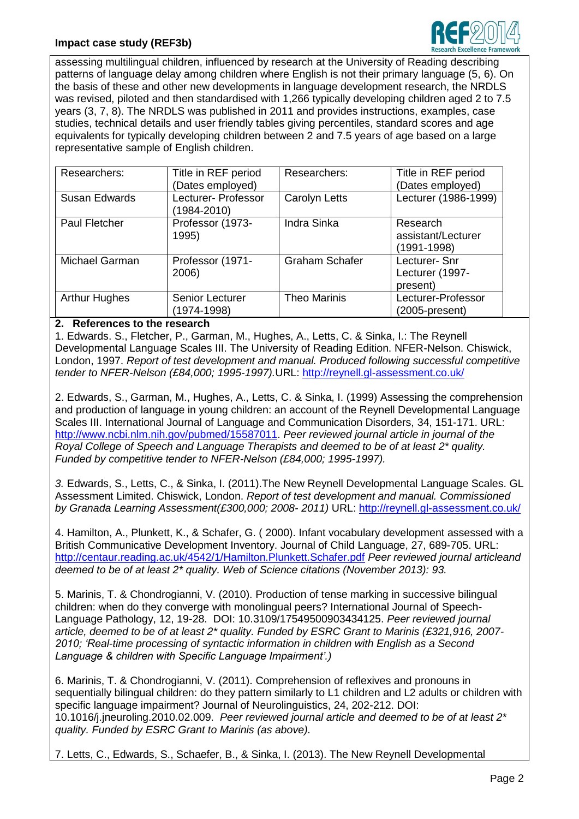# **Impact case study (REF3b)**



assessing multilingual children, influenced by research at the University of Reading describing patterns of language delay among children where English is not their primary language (5, 6). On the basis of these and other new developments in language development research, the NRDLS was revised, piloted and then standardised with 1,266 typically developing children aged 2 to 7.5 years (3, 7, 8). The NRDLS was published in 2011 and provides instructions, examples, case studies, technical details and user friendly tables giving percentiles, standard scores and age equivalents for typically developing children between 2 and 7.5 years of age based on a large representative sample of English children.

| Researchers:         | Title in REF period<br>(Dates employed) | Researchers:          | Title in REF period<br>(Dates employed)       |
|----------------------|-----------------------------------------|-----------------------|-----------------------------------------------|
| <b>Susan Edwards</b> | Lecturer- Professor<br>(1984-2010)      | <b>Carolyn Letts</b>  | Lecturer (1986-1999)                          |
| <b>Paul Fletcher</b> | Professor (1973-<br>1995)               | <b>Indra Sinka</b>    | Research<br>assistant/Lecturer<br>(1991-1998) |
| Michael Garman       | Professor (1971-<br>2006)               | <b>Graham Schafer</b> | Lecturer- Snr<br>Lecturer (1997-<br>present)  |
| <b>Arthur Hughes</b> | Senior Lecturer<br>(1974-1998)          | <b>Theo Marinis</b>   | Lecturer-Professor<br>(2005-present)          |

# **2. References to the research**

1. Edwards. S., Fletcher, P., Garman, M., Hughes, A., Letts, C. & Sinka, I.: The Reynell Developmental Language Scales III. The University of Reading Edition. NFER-Nelson. Chiswick, London, 1997. *Report of test development and manual. Produced following successful competitive tender to NFER-Nelson (£84,000; 1995-1997).*URL: <http://reynell.gl-assessment.co.uk/>

2. Edwards, S., Garman, M., Hughes, A., Letts, C. & Sinka, I. (1999) Assessing the comprehension and production of language in young children: an account of the Reynell Developmental Language Scales III. International Journal of Language and Communication Disorders, 34, 151-171. URL: [http://www.ncbi.nlm.nih.gov/pubmed/15587011.](http://www.ncbi.nlm.nih.gov/pubmed/15587011) *Peer reviewed journal article in journal of the Royal College of Speech and Language Therapists and deemed to be of at least 2\* quality. Funded by competitive tender to NFER-Nelson (£84,000; 1995-1997).*

*3.* Edwards, S., Letts, C., & Sinka, I. (2011).The New Reynell Developmental Language Scales. GL Assessment Limited. Chiswick, London. *Report of test development and manual. Commissioned by Granada Learning Assessment(£300,000; 2008- 2011)* URL: <http://reynell.gl-assessment.co.uk/>

4. Hamilton, A., Plunkett, K., & Schafer, G. ( 2000). Infant vocabulary development assessed with a British Communicative Development Inventory. Journal of Child Language, 27, 689-705. URL: <http://centaur.reading.ac.uk/4542/1/Hamilton.Plunkett.Schafer.pdf> *Peer reviewed journal articleand deemed to be of at least 2\* quality. Web of Science citations (November 2013): 93.*

5. Marinis, T. & Chondrogianni, V. (2010). Production of tense marking in successive bilingual children: when do they converge with monolingual peers? International Journal of Speech-Language Pathology, 12, 19-28.DOI: 10.3109/17549500903434125. *Peer reviewed journal article, deemed to be of at least 2\* quality. Funded by ESRC Grant to Marinis (£321,916, 2007- 2010; 'Real-time processing of syntactic information in children with English as a Second Language & children with Specific Language Impairment'.)*

6. Marinis, T. & Chondrogianni, V. (2011). Comprehension of reflexives and pronouns in sequentially bilingual children: do they pattern similarly to L1 children and L2 adults or children with specific language impairment? Journal of Neurolinguistics, 24, 202-212. DOI: 10.1016/j.jneuroling.2010.02.009. *Peer reviewed journal article and deemed to be of at least 2\* quality. Funded by ESRC Grant to Marinis (as above).* 

7. Letts, C., Edwards, S., Schaefer, B., & Sinka, I. (2013). The New Reynell Developmental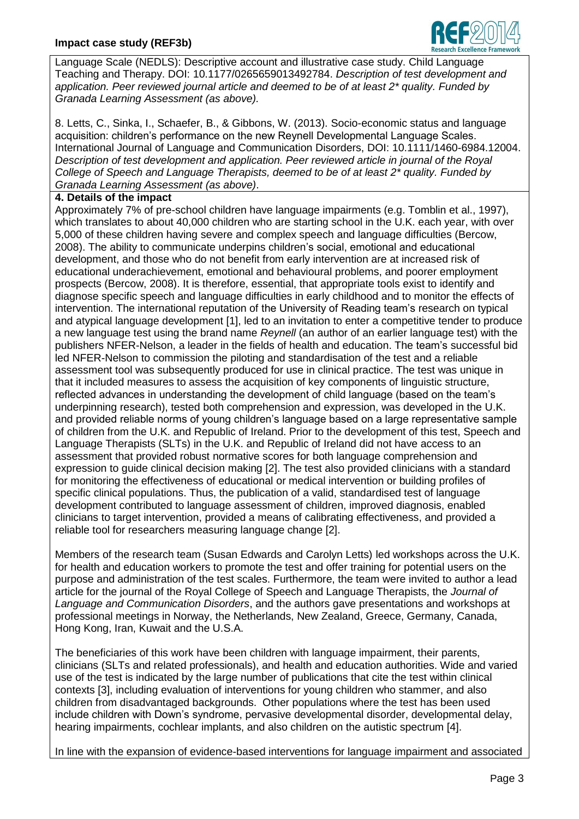

Language Scale (NEDLS): Descriptive account and illustrative case study. Child Language Teaching and Therapy. DOI: 10.1177/0265659013492784. *Description of test development and application. Peer reviewed journal article and deemed to be of at least 2\* quality. Funded by Granada Learning Assessment (as above).*

8. Letts, C., Sinka, I., Schaefer, B., & Gibbons, W. (2013). Socio-economic status and language acquisition: children's performance on the new Reynell Developmental Language Scales. International Journal of Language and Communication Disorders, DOI: 10.1111/1460-6984.12004. *Description of test development and application. Peer reviewed article in journal of the Royal College of Speech and Language Therapists, deemed to be of at least 2\* quality. Funded by Granada Learning Assessment (as above)*.

### **4. Details of the impact**

Approximately 7% of pre-school children have language impairments (e.g. Tomblin et al., 1997), which translates to about 40,000 children who are starting school in the U.K. each year, with over 5,000 of these children having severe and complex speech and language difficulties (Bercow, 2008). The ability to communicate underpins children's social, emotional and educational development, and those who do not benefit from early intervention are at increased risk of educational underachievement, emotional and behavioural problems, and poorer employment prospects (Bercow, 2008). It is therefore, essential, that appropriate tools exist to identify and diagnose specific speech and language difficulties in early childhood and to monitor the effects of intervention. The international reputation of the University of Reading team's research on typical and atypical language development [1], led to an invitation to enter a competitive tender to produce a new language test using the brand name *Reynell* (an author of an earlier language test) with the publishers NFER-Nelson, a leader in the fields of health and education. The team's successful bid led NFER-Nelson to commission the piloting and standardisation of the test and a reliable assessment tool was subsequently produced for use in clinical practice. The test was unique in that it included measures to assess the acquisition of key components of linguistic structure, reflected advances in understanding the development of child language (based on the team's underpinning research), tested both comprehension and expression, was developed in the U.K. and provided reliable norms of young children's language based on a large representative sample of children from the U.K. and Republic of Ireland. Prior to the development of this test, Speech and Language Therapists (SLTs) in the U.K. and Republic of Ireland did not have access to an assessment that provided robust normative scores for both language comprehension and expression to guide clinical decision making [2]. The test also provided clinicians with a standard for monitoring the effectiveness of educational or medical intervention or building profiles of specific clinical populations. Thus, the publication of a valid, standardised test of language development contributed to language assessment of children, improved diagnosis, enabled clinicians to target intervention, provided a means of calibrating effectiveness, and provided a reliable tool for researchers measuring language change [2].

Members of the research team (Susan Edwards and Carolyn Letts) led workshops across the U.K. for health and education workers to promote the test and offer training for potential users on the purpose and administration of the test scales. Furthermore, the team were invited to author a lead article for the journal of the Royal College of Speech and Language Therapists, the *Journal of Language and Communication Disorders*, and the authors gave presentations and workshops at professional meetings in Norway, the Netherlands, New Zealand, Greece, Germany, Canada, Hong Kong, Iran, Kuwait and the U.S.A.

The beneficiaries of this work have been children with language impairment, their parents, clinicians (SLTs and related professionals), and health and education authorities. Wide and varied use of the test is indicated by the large number of publications that cite the test within clinical contexts [3], including evaluation of interventions for young children who stammer, and also children from disadvantaged backgrounds. Other populations where the test has been used include children with Down's syndrome, pervasive developmental disorder, developmental delay, hearing impairments, cochlear implants, and also children on the autistic spectrum [4].

In line with the expansion of evidence-based interventions for language impairment and associated